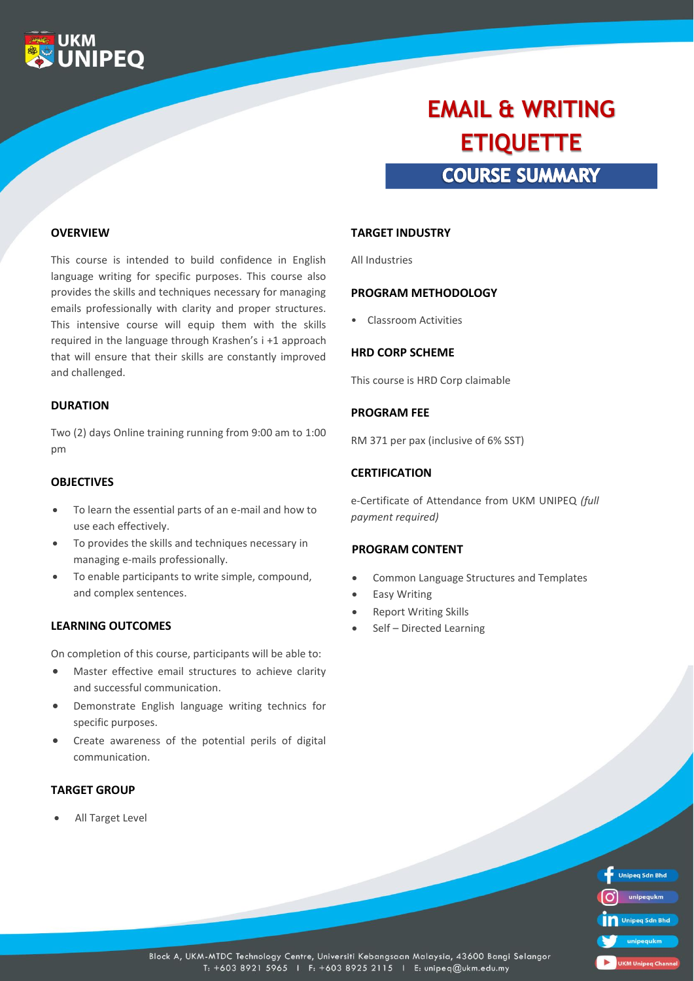

# **COURSE SUMMARY EMAIL & WRITING ETIQUETTE**

#### **OVERVIEW**

This course is intended to build confidence in English language writing for specific purposes. This course also provides the skills and techniques necessary for managing emails professionally with clarity and proper structures. This intensive course will equip them with the skills required in the language through Krashen's i +1 approach that will ensure that their skills are constantly improved and challenged.

#### **DURATION**

Two (2) days Online training running from 9:00 am to 1:00 pm

#### **OBJECTIVES**

- To learn the essential parts of an e-mail and how to use each effectively.
- To provides the skills and techniques necessary in managing e-mails professionally.
- To enable participants to write simple, compound, and complex sentences.

#### **LEARNING OUTCOMES**

On completion of this course, participants will be able to:

- Master effective email structures to achieve clarity and successful communication.
- Demonstrate English language writing technics for specific purposes.
- Create awareness of the potential perils of digital communication.

### **TARGET GROUP**

All Target Level

#### **TARGET INDUSTRY**

All Industries

#### **PROGRAM METHODOLOGY**

• Classroom Activities

#### **HRD CORP SCHEME**

This course is HRD Corp claimable

#### **PROGRAM FEE**

RM 371 per pax (inclusive of 6% SST)

#### **CERTIFICATION**

e-Certificate of Attendance from UKM UNIPEQ *(full payment required)*

#### **PROGRAM CONTENT**

- Common Language Structures and Templates
- Easy Writing
- **Report Writing Skills**
- Self Directed Learning

| <b>Unipeg Sdn Bhd</b>     |
|---------------------------|
| unipequkm                 |
| Unipeg Sdn Bhd            |
| unipequkm                 |
| <b>UKM Unipeg Channel</b> |

Block A, UKM-MTDC Technology Centre, Universiti Kebangsaan Malaysia, 43600 Bangi Selangor T: +603 8921 5965 | F: +603 8925 2115 | E: unipeq@ukm.edu.my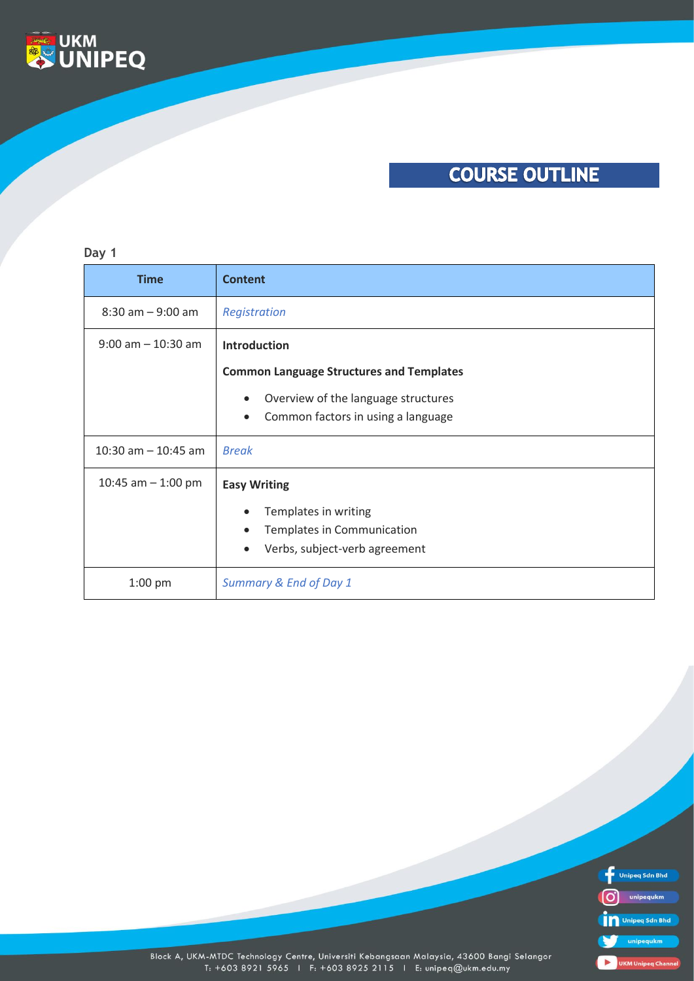

# **COURSE OUTLINE**

### **Day 1**

| <b>Time</b>           | <b>Content</b>                                   |
|-----------------------|--------------------------------------------------|
| $8:30$ am $-9:00$ am  | Registration                                     |
| $9:00$ am $-10:30$ am | <b>Introduction</b>                              |
|                       | <b>Common Language Structures and Templates</b>  |
|                       | Overview of the language structures<br>$\bullet$ |
|                       | Common factors in using a language<br>$\bullet$  |
| 10:30 am $-$ 10:45 am | <b>Break</b>                                     |
| 10:45 am $-$ 1:00 pm  | <b>Easy Writing</b>                              |
|                       | Templates in writing                             |
|                       | Templates in Communication<br>$\bullet$          |
|                       | Verbs, subject-verb agreement<br>$\bullet$       |
| $1:00$ pm             | Summary & End of Day 1                           |



Block A, UKM-MTDC Technology Centre, Universiti Kebangsaan Malaysia, 43600 Bangi Selangor<br>T: +603 8921 5965 1 F: +603 8925 2115 1 E: unipeq@ukm.edu.my